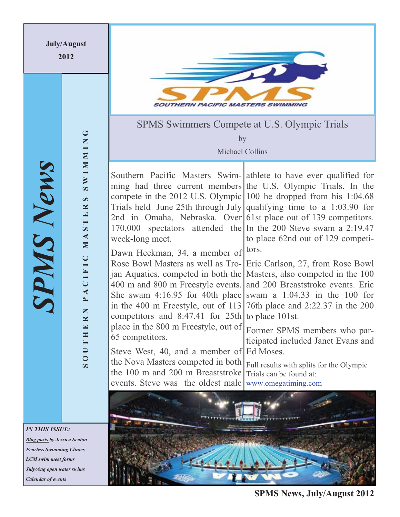

*Blog posts by Jessica Seaton Fearless Swimming Clinics LCM swim meet forms July/Aug open water swims Calendar of events* 

**SPMS News, July/August 2012**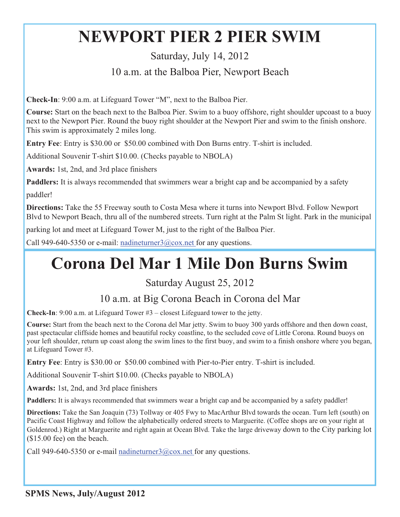# **NEWPORT PIER 2 PIER SWIM**

# Saturday, July 14, 2012 10 a.m. at the Balboa Pier, Newport Beach

**Check-In**: 9:00 a.m. at Lifeguard Tower "M", next to the Balboa Pier.

**Course:** Start on the beach next to the Balboa Pier. Swim to a buoy offshore, right shoulder upcoast to a buoy next to the Newport Pier. Round the buoy right shoulder at the Newport Pier and swim to the finish onshore. This swim is approximately 2 miles long.

**Entry Fee**: Entry is \$30.00 or \$50.00 combined with Don Burns entry. T-shirt is included.

Additional Souvenir T-shirt \$10.00. (Checks payable to NBOLA)

**Awards:** 1st, 2nd, and 3rd place finishers

**Paddlers:** It is always recommended that swimmers wear a bright cap and be accompanied by a safety

paddler!

**Directions:** Take the 55 Freeway south to Costa Mesa where it turns into Newport Blvd. Follow Newport Blvd to Newport Beach, thru all of the numbered streets. Turn right at the Palm St light. Park in the municipal

parking lot and meet at Lifeguard Tower M, just to the right of the Balboa Pier.

Call 949-640-5350 or e-mail: nadineturner3@cox.net for any questions.

# **Corona Del Mar 1 Mile Don Burns Swim**

# Saturday August 25, 2012

# 10 a.m. at Big Corona Beach in Corona del Mar

**Check-In**: 9:00 a.m. at Lifeguard Tower #3 – closest Lifeguard tower to the jetty.

**Course:** Start from the beach next to the Corona del Mar jetty. Swim to buoy 300 yards offshore and then down coast, past spectacular cliffside homes and beautiful rocky coastline, to the secluded cove of Little Corona. Round buoys on your left shoulder, return up coast along the swim lines to the first buoy, and swim to a finish onshore where you began, at Lifeguard Tower #3.

**Entry Fee**: Entry is \$30.00 or \$50.00 combined with Pier-to-Pier entry. T-shirt is included.

Additional Souvenir T-shirt \$10.00. (Checks payable to NBOLA)

**Awards:** 1st, 2nd, and 3rd place finishers

**Paddlers:** It is always recommended that swimmers wear a bright cap and be accompanied by a safety paddler!

**Directions:** Take the San Joaquin (73) Tollway or 405 Fwy to MacArthur Blvd towards the ocean. Turn left (south) on Pacific Coast Highway and follow the alphabetically ordered streets to Marguerite. (Coffee shops are on your right at Goldenrod.) Right at Marguerite and right again at Ocean Blvd. Take the large driveway down to the City parking lot (\$15.00 fee) on the beach.

Call 949-640-5350 or e-mail nadineturner $3@cos$ , net for any questions.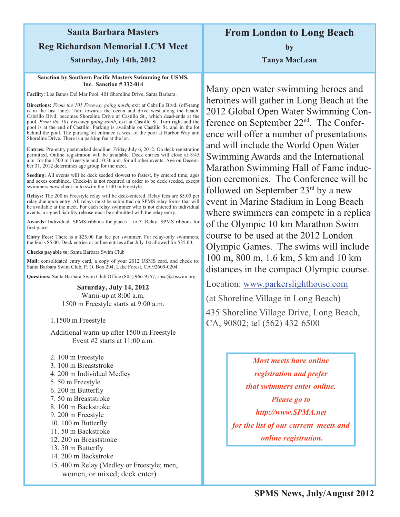# **Santa Barbara Masters Reg Richardson Memorial LCM Meet**

## **Saturday, July 14th, 2012**

#### **Sanction by Southern Pacific Masters Swimming for USMS, Inc. Sanction # 332-014**

**Facility**: Los Banos Del Mar Pool, 401 Shoreline Drive, Santa Barbara.

**Directions:** *From the 101 Freeway going north*, exit at Cabrillo Blvd. (off-ramp is in the fast lane). Turn towards the ocean and drive west along the beach. Cabrillo Blvd. becomes Shoreline Drive at Castillo St., which dead-ends at the pool. *From the 101 Freeway going south*, exit at Castillo St. Turn right and the pool is at the end of Castillo. Parking is available on Castillo St. and in the lot behind the pool. The parking lot entrance is west of the pool at Harbor Way and Shoreline Drive. There is a parking fee at the lot.

**Entries:** Pre-entry postmarked deadline: Friday July 6, 2012. On deck registration permitted. Online registration will be available. Deck entries will close at 8:45 a.m. for the 1500 m Freestyle and 10:30 a.m. for all other events. Age on December 31, 2012 determines age group for the meet.

**Seeding:** All events will be deck seeded slowest to fastest, by entered time, ages and sexes combined. Check-in is not required in order to be deck seeded, except swimmers *must* check in to swim the 1500 m Freestyle.

**Relays:** The 200 m Freestyle relay will be deck-entered. Relay fees are \$5.00 per relay due upon entry. All relays must be submitted on SPMS relay forms that will be available at the meet. For each relay swimmer who is not entered in individual events, a signed liability release must be submitted with the relay entry.

**Awards:** Individual: SPMS ribbons for places 1 to 3. Relay: SPMS ribbons for first place.

**Entry Fees:** There is a \$25.00 flat fee per swimmer. For relay-only swimmers, the fee is \$5.00. Deck entries or online entries after July 1st allowed for \$35.00.

**Checks payable to**: Santa Barbara Swim Club

**Mail:** consolidated entry card, a copy of your 2012 USMS card, and check to: Santa Barbara Swim Club, P. O. Box 204, Lake Forest, CA 92609-0204.

**Questions:** Santa Barbara Swim Club Office (805) 966-9757, sbsc@sbswim.org.

**Saturday, July 14, 2012**  Warm-up at 8:00 a.m. 1500 m Freestyle starts at 9:00 a.m.

1.1500 m Freestyle

Additional warm-up after 1500 m Freestyle Event #2 starts at 11:00 a.m.

- 2. 100 m Freestyle
- 3. 100 m Breaststroke
- 4. 200 m Individual Medley
- 5. 50 m Freestyle
- 6. 200 m Butterfly
- 7. 50 m Breaststroke
- 8. 100 m Backstroke
- 9. 200 m Freestyle
- 10. 100 m Butterfly
- 11. 50 m Backstroke
- 12. 200 m Breaststroke
- 13. 50 m Butterfly
- 14. 200 m Backstroke
- 15. 400 m Relay (Medley or Freestyle; men, women, or mixed; deck enter)

**From London to Long Beach** 

**by Tanya MacLean** 

Many open water swimming heroes and heroines will gather in Long Beach at the 2012 Global Open Water Swimming Conference on September 22nd. The Conference will offer a number of presentations and will include the World Open Water Swimming Awards and the International Marathon Swimming Hall of Fame induction ceremonies. The Conference will be followed on September  $23<sup>rd</sup>$  by a new event in Marine Stadium in Long Beach where swimmers can compete in a replica of the Olympic 10 km Marathon Swim course to be used at the 2012 London Olympic Games. The swims will include 100 m, 800 m, 1.6 km, 5 km and 10 km distances in the compact Olympic course.

Location: www.parkerslighthouse.com

(at Shoreline Village in Long Beach)

435 Shoreline Village Drive, Long Beach, CA, 90802; tel (562) 432-6500

*Most meets have online* 

*registration and prefer* 

*that swimmers enter online.* 

*Please go to* 

*http://www.SPMA.net* 

*for the list of our current meets and online registration.*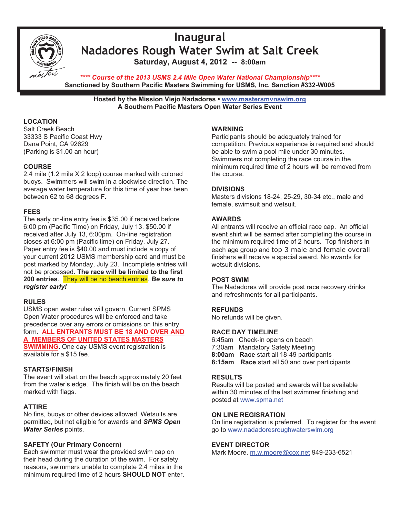

# **Inaugural Nadadores Rough Water Swim at Salt Creek Saturday, August 4, 2012 -- 8:00am**

*\*\*\*\* Course of the 2013 USMS 2.4 Mile Open Water National Championship\*\*\*\**  **Sanctioned by Southern Pacific Masters Swimming for USMS, Inc. Sanction #332-W005**

**Hosted by the Mission Viejo Nadadores • www.mastersmvnswim.org A Southern Pacific Masters Open Water Series Event** 

#### **LOCATION**

Salt Creek Beach 33333 S Pacific Coast Hwy Dana Point, CA 92629 (Parking is \$1.00 an hour)

#### **COURSE**

2.4 mile (1.2 mile X 2 loop) course marked with colored buoys. Swimmers will swim in a clockwise direction. The average water temperature for this time of year has been between 62 to 68 degrees F**.**

#### **FEES**

The early on-line entry fee is \$35.00 if received before 6:00 pm (Pacific Time) on Friday, July 13. \$50.00 if received after July 13, 6:00pm. On-line registration closes at 6:00 pm (Pacific time) on Friday, July 27. Paper entry fee is \$40.00 and must include a copy of your current 2012 USMS membership card and must be post marked by Monday, July 23. Incomplete entries will not be processed. **The race will be limited to the first 200 entries**. They will be no beach entries. *Be sure to register early!* 

#### **RULES**

USMS open water rules will govern. Current SPMS Open Water procedures will be enforced and take precedence over any errors or omissions on this entry form. **ALL ENTRANTS MUST BE 18 AND OVER AND A MEMBERS OF UNITED STATES MASTERS SWIMMING.** One day USMS event registration is

available for a \$15 fee.

#### **STARTS/FINISH**

The event will start on the beach approximately 20 feet from the water's edge. The finish will be on the beach marked with flags.

#### **ATTIRE**

No fins, buoys or other devices allowed. Wetsuits are permitted, but not eligible for awards and *SPMS Open Water Series* points.

#### **SAFETY (Our Primary Concern)**

Each swimmer must wear the provided swim cap on their head during the duration of the swim. For safety reasons, swimmers unable to complete 2.4 miles in the minimum required time of 2 hours **SHOULD NOT** enter.

#### **WARNING**

Participants should be adequately trained for competition. Previous experience is required and should be able to swim a pool mile under 30 minutes. Swimmers not completing the race course in the minimum required time of 2 hours will be removed from the course.

#### **DIVISIONS**

Masters divisions 18-24, 25-29, 30-34 etc., male and female, swimsuit and wetsuit.

#### **AWARDS**

All entrants will receive an official race cap. An official event shirt will be earned after completing the course in the minimum required time of 2 hours. Top finishers in each age group and top 3 male and female overall finishers will receive a special award. No awards for wetsuit divisions.

#### **POST SWIM**

The Nadadores will provide post race recovery drinks and refreshments for all participants.

#### **REFUNDS**

No refunds will be given.

#### **RACE DAY TIMELINE**

6:45am Check-in opens on beach 7:30am Mandatory Safety Meeting **8:00am Race** start all 18-49 participants **8:15am Race** start all 50 and over participants

#### **RESULTS**

Results will be posted and awards will be available within 30 minutes of the last swimmer finishing and posted at www.spma.net

#### **ON LINE REGISRATION**

On line registration is preferred. To register for the event go to www.nadadoresroughwaterswim.org

#### **EVENT DIRECTOR**

Mark Moore, m.w.moore@cox.net 949-233-6521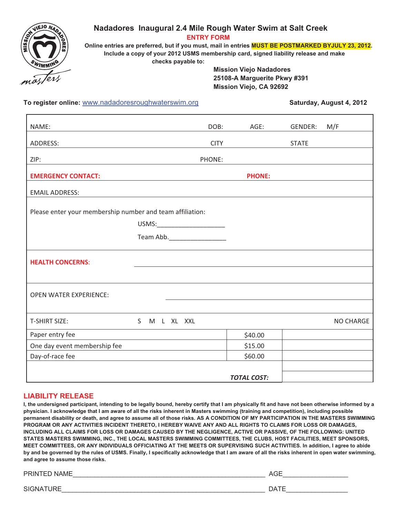

### **Nadadores Inaugural 2.4 Mile Rough Water Swim at Salt Creek**

 **ENTRY FORM**

 **Online entries are preferred, but if you must, mail in entries MUST BE POSTMARKED BYJULY 23, 2012. Include a copy of your 2012 USMS membership card, signed liability release and make checks payable to:**

> **Mission Viejo Nadadores 25108-A Marguerite Pkwy #391 Mission Viejo, CA 92692**

To register online: www.nadadoresroughwaterswim.org **Saturday, August 4, 2012** 

| NAME:                                                     | DOB:                           | AGE:               | GENDER:      | M/F              |
|-----------------------------------------------------------|--------------------------------|--------------------|--------------|------------------|
| ADDRESS:                                                  | <b>CITY</b>                    |                    | <b>STATE</b> |                  |
| ZIP:                                                      | PHONE:                         |                    |              |                  |
|                                                           |                                |                    |              |                  |
| <b>EMERGENCY CONTACT:</b>                                 |                                | <b>PHONE:</b>      |              |                  |
| <b>EMAIL ADDRESS:</b>                                     |                                |                    |              |                  |
|                                                           |                                |                    |              |                  |
| Please enter your membership number and team affiliation: |                                |                    |              |                  |
|                                                           | USMS:_________________________ |                    |              |                  |
|                                                           |                                |                    |              |                  |
|                                                           |                                |                    |              |                  |
| <b>HEALTH CONCERNS:</b>                                   |                                |                    |              |                  |
|                                                           |                                |                    |              |                  |
| <b>OPEN WATER EXPERIENCE:</b>                             |                                |                    |              |                  |
|                                                           |                                |                    |              |                  |
| <b>T-SHIRT SIZE:</b><br>S M L XL XXL                      |                                |                    |              | <b>NO CHARGE</b> |
| Paper entry fee                                           |                                | \$40.00            |              |                  |
| One day event membership fee                              |                                | \$15.00            |              |                  |
| Day-of-race fee                                           |                                | \$60.00            |              |                  |
|                                                           |                                |                    |              |                  |
|                                                           |                                | <b>TOTAL COST:</b> |              |                  |

#### **LIABILITY RELEASE**

**I, the undersigned participant, intending to be legally bound, hereby certify that I am physically fit and have not been otherwise informed by a physician. I acknowledge that I am aware of all the risks inherent in Masters swimming (training and competition), including possible permanent disability or death, and agree to assume all of those risks. AS A CONDITION OF MY PARTICIPATION IN THE MASTERS SWIMMING PROGRAM OR ANY ACTIVITIES INCIDENT THERETO, I HEREBY WAIVE ANY AND ALL RIGHTS TO CLAIMS FOR LOSS OR DAMAGES, INCLUDING ALL CLAIMS FOR LOSS OR DAMAGES CAUSED BY THE NEGLIGENCE, ACTIVE OR PASSIVE, OF THE FOLLOWING: UNITED STATES MASTERS SWIMMING, INC., THE LOCAL MASTERS SWIMMING COMMITTEES, THE CLUBS, HOST FACILITIES, MEET SPONSORS, MEET COMMITTEES, OR ANY INDIVIDUALS OFFICIATING AT THE MEETS OR SUPERVISING SUCH ACTIVITIES. In addition, I agree to abide by and be governed by the rules of USMS. Finally, I specifically acknowledge that I am aware of all the risks inherent in open water swimming, and agree to assume those risks.**

PRINTED NAME\_\_\_\_\_\_\_\_\_\_\_\_\_\_\_\_\_\_\_\_\_\_\_\_\_\_\_\_\_\_\_\_\_\_\_\_\_\_\_\_\_\_\_\_\_\_\_\_\_\_\_\_\_ AGE\_\_\_\_\_\_\_\_\_\_\_\_\_\_\_\_\_\_

SIGNATURE\_\_\_\_\_\_\_\_\_\_\_\_\_\_\_\_\_\_\_\_\_\_\_\_\_\_\_\_\_\_\_\_\_\_\_\_\_\_\_\_\_\_\_\_\_\_\_\_\_\_\_\_\_\_\_\_ DATE\_\_\_\_\_\_\_\_\_\_\_\_\_\_\_\_\_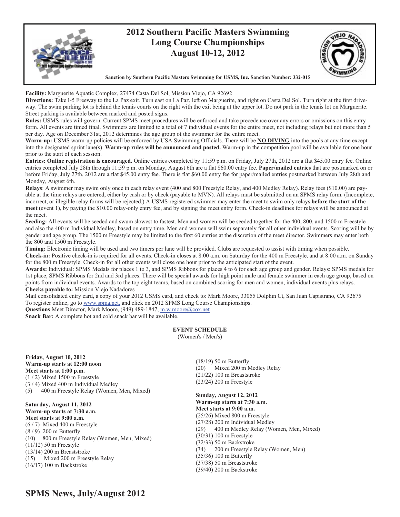

**Facility:** Marguerite Aquatic Complex, 27474 Casta Del Sol, Mission Viejo, CA 92692

**Directions:** Take I-5 Freeway to the La Paz exit. Turn east on La Paz, left on Marguerite, and right on Casta Del Sol. Turn right at the first driveway. The swim parking lot is behind the tennis courts on the right with the exit being at the upper lot. Do not park in the tennis lot on Marguerite. Street parking is available between marked and posted signs.

**Rules:** USMS rules will govern. Current SPMS meet procedures will be enforced and take precedence over any errors or omissions on this entry form. All events are timed final. Swimmers are limited to a total of 7 individual events for the entire meet, not including relays but not more than 5 per day. Age on December 31st, 2012 determines the age group of the swimmer for the entire meet.

**Warm-up:** USMS warm-up policies will be enforced by USA Swimming Officials. There will be **NO DIVING** into the pools at any time except into the designated sprint lane(s). **Warm-up rules will be announced and posted.** Warm-up in the competition pool will be available for one hour prior to the start of each session.

**Entries: Online registration is encouraged.** Online entries completed by 11:59 p.m. on Friday, July 27th, 2012 are a flat \$45.00 entry fee. Online entries completed July 28th through 11:59 p.m. on Monday, August 6th are a flat \$60.00 entry fee. **Paper/mailed entries** that are postmarked on or before Friday, July 27th, 2012 are a flat \$45.00 entry fee. There is flat \$60.00 entry fee for paper/mailed entries postmarked between July 28th and Monday, August 6th.

**Relays**: A swimmer may swim only once in each relay event (400 and 800 Freestyle Relay, and 400 Medley Relay). Relay fees (\$10.00) are payable at the time relays are entered, either by cash or by check (payable to MVN). All relays must be submitted on an SPMS relay form. (Incomplete, incorrect, or illegible relay forms will be rejected.) A USMS-registered swimmer may enter the meet to swim only relays **before the start of the meet** (event 1), by paying the \$10.00 relay-only entry fee, and by signing the meet entry form. Check-in deadlines for relays will be announced at the meet.

**Seeding:** All events will be seeded and swum slowest to fastest. Men and women will be seeded together for the 400, 800, and 1500 m Freestyle and also the 400 m Individual Medley, based on entry time. Men and women will swim separately for all other individual events. Scoring will be by gender and age group. The 1500 m Freestyle may be limited to the first 60 entries at the discretion of the meet director. Swimmers may enter both the 800 and 1500 m Freestyle.

**Timing:** Electronic timing will be used and two timers per lane will be provided. Clubs are requested to assist with timing when possible.

**Check-in:** Positive check-in is required for all events. Check-in closes at 8:00 a.m. on Saturday for the 400 m Freestyle, and at 8:00 a.m. on Sunday for the 800 m Freestyle. Check-in for all other events will close one hour prior to the anticipated start of the event.

**Awards:** Individual: SPMS Medals for places 1 to 3, and SPMS Ribbons for places 4 to 6 for each age group and gender. Relays: SPMS medals for 1st place, SPMS Ribbons for 2nd and 3rd places. There will be special awards for high point male and female swimmer in each age group, based on points from individual events. Awards to the top eight teams, based on combined scoring for men and women, individual events plus relays. **Checks payable to:** Mission Viejo Nadadores

Mail consolidated entry card, a copy of your 2012 USMS card, and check to: Mark Moore, 33055 Dolphin Ct, San Juan Capistrano, CA 92675 To register online, go to www.spma.net, and click on 2012 SPMS Long Course Championships.

Questions Meet Director, Mark Moore, (949) 489-1847, m.w.moore@cox.net

**Snack Bar:** A complete hot and cold snack bar will be available.

#### **EVENT SCHEDULE**

(Women's / Men's)

**Friday, August 10, 2012 Warm-up starts at 12:00 noon Meet starts at 1:00 p.m.**  $(1/2)$  Mixed 1500 m Freestyle (3 / 4) Mixed 400 m Individual Medley (5) 400 m Freestyle Relay (Women, Men, Mixed)

**Saturday, August 11, 2012 Warm-up starts at 7:30 a.m. Meet starts at 9:00 a.m.**  (6 / 7) Mixed 400 m Freestyle (8 / 9) 200 m Butterfly (10) 800 m Freestyle Relay (Women, Men, Mixed) (11/12) 50 m Freestyle (13/14) 200 m Breaststroke (15) Mixed 200 m Freestyle Relay (16/17) 100 m Backstroke

(18/19) 50 m Butterfly (20) Mixed 200 m Medley Relay (21/22) 100 m Breaststroke (23/24) 200 m Freestyle

**Sunday, August 12, 2012 Warm-up starts at 7:30 a.m. Meet starts at 9:00 a.m.**  (25/26) Mixed 800 m Freestyle (27/28) 200 m Individual Medley (29) 400 m Medley Relay (Women, Men, Mixed) (30/31) 100 m Freestyle (32/33) 50 m Backstroke (34) 200 m Freestyle Relay (Women, Men) (35/36) 100 m Butterfly (37/38) 50 m Breaststroke (39/40) 200 m Backstroke

### **SPMS News, July/August 2012**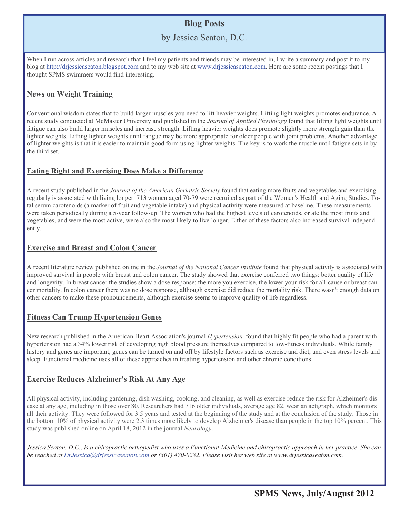## **Blog Posts**

### by Jessica Seaton, D.C.

When I run across articles and research that I feel my patients and friends may be interested in, I write a summary and post it to my blog at http://drjessicaseaton.blogspot.com and to my web site at www.drjessicaseaton.com. Here are some recent postings that I thought SPMS swimmers would find interesting.

#### **News on Weight Training**

Conventional wisdom states that to build larger muscles you need to lift heavier weights. Lifting light weights promotes endurance. A recent study conducted at McMaster University and published in the *Journal of Applied Physiology* found that lifting light weights until fatigue can also build larger muscles and increase strength. Lifting heavier weights does promote slightly more strength gain than the lighter weights. Lifting lighter weights until fatigue may be more appropriate for older people with joint problems. Another advantage of lighter weights is that it is easier to maintain good form using lighter weights. The key is to work the muscle until fatigue sets in by the third set.

#### **Eating Right and Exercising Does Make a Difference**

A recent study published in the *Journal of the American Geriatric Society* found that eating more fruits and vegetables and exercising regularly is associated with living longer. 713 women aged 70-79 were recruited as part of the Women's Health and Aging Studies. Total serum carotenoids (a marker of fruit and vegetable intake) and physical activity were measured at baseline. These measurements were taken periodically during a 5-year follow-up. The women who had the highest levels of carotenoids, or ate the most fruits and vegetables, and were the most active, were also the most likely to live longer. Either of these factors also increased survival independently.

#### **Exercise and Breast and Colon Cancer**

A recent literature review published online in the *Journal of the National Cancer Institute* found that physical activity is associated with improved survival in people with breast and colon cancer. The study showed that exercise conferred two things: better quality of life and longevity. In breast cancer the studies show a dose response: the more you exercise, the lower your risk for all-cause or breast cancer mortality. In colon cancer there was no dose response, although exercise did reduce the mortality risk. There wasn't enough data on other cancers to make these pronouncements, although exercise seems to improve quality of life regardless.

### **Fitness Can Trump Hypertension Genes**

New research published in the American Heart Association's journal *Hypertension,* found that highly fit people who had a parent with hypertension had a 34% lower risk of developing high blood pressure themselves compared to low-fitness individuals. While family history and genes are important, genes can be turned on and off by lifestyle factors such as exercise and diet, and even stress levels and sleep. Functional medicine uses all of these approaches in treating hypertension and other chronic conditions.

### **Exercise Reduces Alzheimer's Risk At Any Age**

All physical activity, including gardening, dish washing, cooking, and cleaning, as well as exercise reduce the risk for Alzheimer's disease at any age, including in those over 80. Researchers had 716 older individuals, average age 82, wear an actigraph, which monitors all their activity. They were followed for 3.5 years and tested at the beginning of the study and at the conclusion of the study. Those in the bottom 10% of physical activity were 2.3 times more likely to develop Alzheimer's disease than people in the top 10% percent. This study was published online on April 18, 2012 in the journal *Neurology*.

*Jessica Seaton, D.C., is a chiropractic orthopedist who uses a Functional Medicine and chiropractic approach in her practice. She can be reached at DrJessica@drjessicaseaton.com or (301) 470-0282. Please visit her web site at www.drjessicaseaton.com.*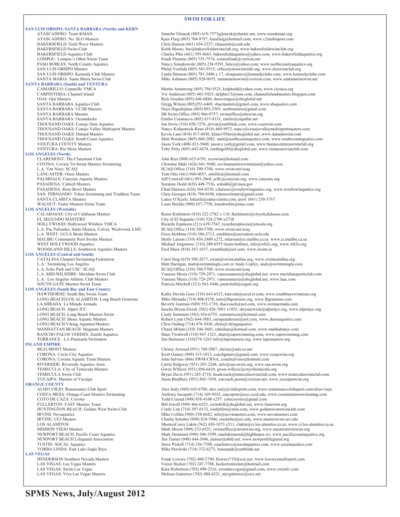#### **SWIM FOR LIFE**

**SAN LUIS OBISPO, SANTA BARBARA (North) and KERN** ATASCADERO: Team KMAN Jennifer Glenesk (805) 610-7573jglenesk@charter.net, www.teamkman.org<br>ATASCADERO: No. SLO Masters The State of the Kass Flaig (805) 704-9797, kassflaig@hotmail.com, www.c2multisport.com Kass Flaig (805) 704-9797, kassflaig@hotmail.com, www.c2multisport.com BAKERSFIELD: Gold Wave Masters Chris Hansen (661) 654-2327; chansen 6@csub.edu<br>
RAKERSFIELD Swim Club Chris Hansen (661) 654-2327; chansen 6@csub.edu BAKERSFIELD Swim Club (EU) Research Moore, bsc@bakersfieldswimclub.org, www.bakersfieldswimclub.org<br>BAKERSFIELD Aquatics Club (Annus Charles Pike (661) 395-4663, bakersfieldaquatics@yahoo.com, www.bakers BAKERSFIELD Aquatics Club<br>
Charles Pike (661) 395-4663, bakersfieldaquatics@yahoo.com, www.bakersfieldaquatics.org<br>
Frank Piemme (805) 735-7574, conniefrank@yerizon.net LOMPOC: Lompoc's Other Swim Team Frank Piemme (805) 735-7574, conniefrank@verizon.net<br>PASO ROBLES: North County Aquatics Namey Sznejkowski (805) 238-5591, betco@yahoo.com, PASO ROBLES: North County Aquatics Nancy Sznejkowski (805) 238-5591, betco@yahoo.com, www.northcountyaquatics.org<br>Nancy San LUIS OBISPO Masters Nancy Sznejkowski (805) 543-9515, office@sloswimclub.org, www.sloswimclub.org SAN LUIS OBISPO Masters<br>SAN LUIS OBISPO: Kennedy Club Masters Francisco Philip Yoshida (805) 543-9515, office@sloswimclub.org, www.sloswimclub.org<br>Philip Yoshida Stimson (805) 781-3488 x 17, sloaquatics@kennedyclubs.com, w SAN LUIS OBISPO: Kennedy Club Masters Linda Stimson (805) 781-3488 x 17, sloaquatics@kennedyclubs.com, www.kennedyclubs.com<br>SANTA MARIA: Santa Maria Swim Club Mike Ashmore (805) 928-9655, santamariaswim@verizon.com, www.sa Mike Ashmore (805) 928-9655, santamariaswim@verizon.com, www.santamariaswim.net **SANTA BARBARA (South) and VENTURA**  CAMARILLO: Camarillo YMCA Martin Armstrong (805) 794-5525, kelpbedd@yahoo.com, www.ciymca.org<br>CARPINTERIA: Channel Island Vic Anderson (805) 403-5425, delphis13@msn.com, channelislandmasters.b CARPINTERIA: Channel Island Vic Anderson (805) 403-5425, delphis13@msn.com, channelislandmasters.blogspot.com<br>CLAI: Oiai Masters<br>Rick Goeden (805) 646-6884. theswimpuv@shcplohal.net OJAI: Ojai Masters Rick Goeden (805) 646-6884, theswimguy@sbcglobal.net<br>
SANTA BARBARA Aquatics Club<br>
SANTA BARBARA: UCSB Masters Research Richard Richard Naya Higashijima (805) 893-2505, ucsbmasters@gmail.com, w SANTA BARBARA Aquatics Club Gregg Wilson (805)252-6469, sbacmasters@gmail.com, www.sbaquatics.com<br>SANTA BARBARA: UCSB Masters Naya Higashijima (805) 893-2505, ucsbmasters@gmail.com SANTA BARBARA Masters SB Swim Office (805) 966-9757, swimoffice@sbswim.org<br>SANTA BARBARA: Oceanducks Emilio Casanueva (805) 637-8331, emilio@zapallar.net SANTA BARBARA: Oceanducks<br>
THOUSAND OAKS: Conejo Simi Aquatics<br>
Jon Irwin (310) 658-7276, jirwin@earthlink.com, www. THOUSAND OAKS: Conejo Simi Aquatics Jon Irwin (310) 658-7276, jirwin@earthlink.com, www.csaswim.com<br>THOUSAND OAKS: Conejo Valley Multisport Masters Nancy Kirkpatrick-Reno (818) 469-9972, nancy@conejovalleymultisp THOUSAND OAKS: Conejo Valley Multisport Masters Nancy Kirkpatrick-Reno (818) 469-9972, nancy@conejovalleymultisportmasters.com<br>THOUSAND OAKS: Daland Masters Kevin Lane (818) 917-6930, klane1956ct@sbcglobal.net, www.dalands THOUSAND OAKS: Daland Masters Kevin Lane (818) 917-6930, klane1956ct@sbcglobal.net, www.dalandswim.com<br>THOUSAND OAKS: South Coast Aquatics Matt Warshaw (805) 660-2082, matt@southcoastaquatics.com, www.southcoasta THOUSAND OAKS: South Coast Aquatics Matt Warshaw (805) 660-2082, matt@southcoastaquatics.com, www.southcoastaquatics.com<br>VENTURA COUNTY Masters Maters Material Material Material Material Material Material Material Material VENTURA COUNTY Masters (Interval on the United States of Mass of Vork (408) 821-5600, jason.e.york@gmail.com, www.buenaventuraswimclub.org<br>VENTURA: Rio Mesa Masters (Interval on the United States of Toby Petty (805) 642-66 Toby Petty (805) 642-6674, tonthego00@sbcglobal.net, www.riomesaswimclub.com **LOS ANGELES (North)**  CLAREMONT: The Claremont Club John Ries (909) 625-6791, tccswim@hotmail.com<br>COVINA: Covina Tri-Swim Masters Swimming Christine Maki (626) 641-5680, covinamastersswin COVINA: Covina Tri-Swim Masters Swimming Christine Maki (626) 641-5680, covinamastersswimteam@yahoo.com L.A. Van Nuys: SCAQ SCAQ Office (310) 390-5700, www.swim.net/scaq LANCASTER: Oasis Masters Tom Otto (661) 948-0057, ottolfixit@hotmail.com<br>
PALMDALE: Canyons Aquatic Masters Tom Palm Deff Conwell (661) 993-2868, jeffc@canyons.org, v PALMDALE: Canyons Aquatic Masters Jeff Conwell (661) 993-2868, jeffc@canyons.org, www.canyons.org<br>PASADENA: Caltech Masters Jeff Conwell (661) 993-2868, jeffc@canyons.org, www.canyons.org PASADENA: Caltech Masters Suzanne Dodd (626) 449-7536, srdodd@jpl.nasa.gov<br>PASADENA: Rose Bowl Masters Chad Durieux (626) 564-0330, cdurieux@rosebowla Chad Durieux (626) 564-0330, cdurieux@rosebowlaquatics.org, www.rosebowlaquatics.org<br>Chris Georges (818) 794-0196, tritonswimntri@gmail.com SAN FERNANDO: Triton Swimming and Triathlon Team SANTA CLARITA Masters Lance O'Keefe, lokeefe@santa-clarita.com, pool: (661) 250-3767 WALNUT: Faster Masters Swim Team Louis Boehle (909) 657-7758, louisboehle@mac.com **LOS ANGELES (Westside)** CALABASAS: City of Calabasas Masters Raine Kishimoto (818) 222-2782 x 110, lkishimoto@cityofcalabasas.com<br>EL SEGUNDO MASTERS City of El Segundo (310) 524-2700 x2738 EL SEGUNDO MASTERS<br>
HOLLYWOOD: Hollywood Wilshire YMCA<br>
Ricardo Espinoza (213) 639-7547, ricardo Ricardo Espinoza (213) 639-7547, ricardoespinoza@ymcala.org<br>SCAQ Office (310) 390-5700, www.swim.net/scaq L.A. Pac Palisades, Santa Monica, Culver, Westwood, LMU<br>L.A. WEST: UCLA Bruin Masters L.A. WEST: UCLA Bruin Masters Erica Stebbins (310) 386-2712, estebbins@recreation.ucla.edu<br>MALIBU Community Pool Swims Masters Molly Larson (310) 456-2489 x272, mlarson@ci.malibu.ca.us, MALIBU Community Pool Swims Masters Molly Larson (310) 456-2489 x272, mlarson@ci.malibu.ca.us, www.ci.malibu.ca.us<br>WEST HOLLYWOOD Aquatics Michael Jorgensen (310) 288-6555 (team hotline), info@wh2o.org, www.wh2o.org Michael Jorgensen (310) 288-6555 (team hotline), info@wh2o.org, www.wh2o.org WOODLAND HILLS: Southwest Aquatics Masters Fred Shaw (818) 347-1637, swamfred@aol.com, www.swam.us **LOS ANGELES (Central and South)**  Carol Sing (619) 588-2677, swim@swimcatalina.org, www.swimcatalina.org L.A.: Swimming Los Angeles Matt Harrigan, matt Matt Harrigan, matt @swimmingla.com or Andy Copley, andy@swimmingla.com<br>L.A. Echo Park and USC: SCAQ SCAQ SEAQ Office (310) 390-5700, www.swim.net/scaq L.A. Echo Park and USC: SCAQ<br>
L.A. MID-WILSHIRE: Meridian Swim Club<br>
Vanessa Mesia (310) 729-2971, vanessamesia@sbc L.A. MID-WILSHIRE: Meridian Swim Club Vanessa Mesia (310) 729-2971, vanessamesia@sbcglobal.net, www.meridiansportsclub.com<br>L.A.: Los Angeles Athletic Club Masters Vanessa Mesia (310) 729-2971, vanessamesia@sbcglobal.net, w L.A.: Los Angeles Athletic Club Masters Vanessa Mesia (310) 729-2971, vanessamesia@sbcglobal.net, www.laac.com<br>SOUTH GATE Masters Swim Team Patricia Mitchell (323) 563-5446, pmitchell@sogate.org Patricia Mitchell (323) 563-5446, pmitchell@sogate.org **LOS ANGELES (South Bay and East County)**  HAWTHORNE: South Bay Swim Team Kathy Davids Gore (310) 643-6523, kdavids@socal.rr.com, www.southbayswimteam.org<br>
LONG BEACH/LOS ALAMITOS: Long Beach Grunions Mike Miranda (714) 808-9158, info@lbgrunions.org, www.lbgrunions LONG BEACH/LOS ALAMITOS: Long Beach Grunions Mike Miranda (714) 808-9158, info@lbgrunions.org, www.lbgrunions.com LA MIRADA: La Mirada Armada Beverly Garman (949) 552-1710, ihaccoach@aol.com, www.swimarmada.com LONG BEACH: Alpert JCC Sascha Bryon-Zwick (562) 426-7601 x1035, sbryanzwick@alpertjcc.org, www.alpertjcc.org<br>
LONG BEACH: Shore Aquatic Masters Swim Cindy Summers (562) 416-6755, summerscm@hotmail.com<br>
LONG BEACH: Shore Aq Cindy Summers (562) 416-6755, summers cm@hotmail.com LONG BEACH: Shore Aquatic Masters Robert Lynn (562) 644-3883, europeanhouse@aol.com, www.shoreaquatics.com<br>
LONG BEACH: Viking Aquatics/Masters Chris Oeding (714) 478-3030, chris@vikingaquatics LONG BEACH:Viking Aquatics/Masters Chris Oeding (714) 478-3030, chris@vikingaquatics<br>
MANHATTAN BEACH: Magnum Masters Chuck Milam (310) 546-3601, cdmilam@hotmail.co MANHATTAN BEACH: Magnum Masters Chuck Milam (310) 546-3601, cdmilam@hotmail.com, www.manhattancc.com RANCHO PALOS VERDES: Zenith Aquatics Shari Twidwell (310) 947-1323, shari@zapswimming.com, www.zapswimming.com<br>TORRANCE : LA Peninsula Swimmers Shari Twidwell (310) 947-1323, shari@zapswimming.com, www.lapsmasters.org Jim Steinauer (310)374-1263 info@lapsmasters.org, www.lapsmasters.org **INLAND EMPIRE**  BEAUMONT Masters CORONA: Circle City Aquatics CORONA: Circle City Aquatics CORONA: Circle City Aquatics CORONA: Circle City Aquatics CORONA: Circle City Aquatics Coronave CORONA: Circle City Aquatics Coronave Coronave Coro Scott Gainey (949) 315-1013, coachgainey@gmail.com, www.ccaqswim.org CORONA: Corona Aquatic Team Masters John Salvino (866) SWM-CRNA, coachsalvino@hotmail.com<br>RIVERSIDE: Riverside Aquatics Assn. Carrie Ridgway (951) 205-2268, info@raa-swim.org, www.raa RIVERSIDE: Riverside Aquatics Assn. Carrie Ridgway (951) 205-2268, info@raa-swim.org, www.raa-swim.org<br>TEMECULA: City of Temecula Masters Carrie Coven Willcox (951) 694-6410. swen.willcox@cityoftemecula.org TEMECULA: City of Temecula Masters Gwen WIllcox (951) 694-6410, gwen willcox@cityoftemecula.org<br>TEMECULA Swim Club Gun, Bryan Davis (951) 285-2718, headcoach@temeculaswimclub.com, TEMECULA Swim Club Cub Bryan Davis (951) 285-2718, headcoach@temeculaswimclub.com, www.temeculaswimclub.com<br>The Bryan Davis (951) 845-7458, ystcoach.jason@verizon.net, www.yucaipaswim.org<br>The Bryan Davis (951) 845-7458, ys Jason Bradbury (951) 845-7458, ystcoach.jason@verizon.net, www.yucaipaswim.org **ORANGE COUNTY**<br>ALISO VIEJO: Renaissance Club Sport ALISO VIEJO: Renaissance Club Sport Alex Isaly (949) 643-6700, alex.isaly@clubsports.com, www.renaissanceclubsport.com/aliso-viejo<br>COSTA MESA: Orange Coast Masters Swimming Anthony Iacopetti (714) 369-9555, aiacopetti@occ. COSTA MESA: Orange Coast Masters Swimming Anthony Iacopetti (714) 369-9555, aiacopetti@occ.cccd.edu, www.coastmastersswimming.com<br>COTO DE CAZA: Coyotes Todd Conrad (949) 858-4100 x257, cotocoyotes@gmail.com COTO DE CAZA: Coyotes Todd Conrad (949) 858-4100 x257, cotocoyotes@gmail.com Bill Jewell (949) 466-6523, swimbill@sbcglobal.net, www.fastswim.org HUNTINGTON BEACH: Golden West Swim Club Cindy Lim (714) 397-0132, cindyhlim@msn.com, www.goldenwestswimclub.com<br>RVINE Novaquatics com, www.novamasters.com IRVINE Novaquatics<br>
IRVINE: UCI Masters<br>
Charlie Schober (949) 824-7946, ctschobe@uci.edu, www.masters.com<br>
Charlie Schober (949) 824-7946, ctschobe@uci.edu, www.masters.wim.uci.edu IRVINE: UCI Masters Charlie Schober (949) 824-7946, ctschobe@uci.edu, www.masterswim.uci.edu LOS ALAMITOS <br>MastersCorey Lakin (562) 430-1073 x511, clakin@ci.los-alamitos.ca.us, www.ci.los-alamitos.ca.us<br>Mark Moore (949) 233-6521, swimoffice@mvnswim.org, www.mastersmvnswim.org MISSION VIEJO Masters Mark Moore (949) 233-6521, swimoffice@mvnswim.org, www.mastersmvnswim.org<br>Mark Desmond (949) 306-3599, markdesmond@highhopes.ws, www.pacificcoastaqua NEWPORT BEACH: Pacific Coast Aquatics Mark Desmond (949) 306-3599, markdesmond@highhopes.ws, www.pacificcoastaquatics.org<br>Mark Desmond (949) 644-3046, jturner@nbfd.net, www.newportlifeguard.org<br>Mark Desmond (949) 644-3046, NEWPORT BEACH Lifeguard Association Jim Turner (949) 644-3046, jturner@nbfd.net, www.newportlifeguard.org<br>TUSTIN: SOCAL Aquatics com, www.socal TUSTIN: SOCAL Aquatics Comparent Steve Pickell (714) 356-7390, coachsteve@socalaquatics.com, www.socalaquatics.com<br>TORBA LINDA: East Lake Eagle Rays Mike Pawloski (714) 372-6273, bonuspak@earthlink.net Mike Pawloski (714) 372-6273, bonuspak@earthlink.net **LAS VEGAS**  Frank Lowery (702) 400-2790, flowery 719@cox.net, www.lowerysmultisport.com LAS VEGAS: Las Vegas Masters Victor Hecker (702) 247-7788, heckerrealestate@hotmail.com<br>
LAS VEGAS: Swim Las Vegas Vegas Vegas Vegas Vegas Vegas Vegas (702) 498-2316, swimlasvegas@gmail.com, w LAS VEGAS: Swim Las Vegas <br>
LAS VEGAS: Viva Las Vegas Masters **Kara Robertson (702) 498-2316**, swimlasvegas@gmail.com, www.swimlv.com<br>
Melissa Gutierrez (702) 480-4321, mjvgutierrez@cox.net Melissa Gutierrez (702) 480-4321, mjvgutierrez@cox.net